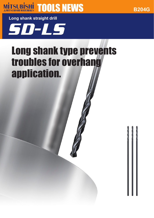# **MITSUBISHI TOOLS NEWS**

**B204G**

**Long shank straight drill**

SD-LS

## Long shank type prevents troubles for overhang application.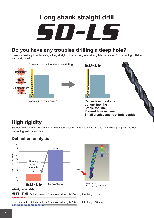# SD-LS **Long shank straight drill**

## **Do you have any troubles drilling a deep hole?**

Have you had any troubles using a long straight drill when long overall length is demanded for preventing collision with workpiece?





**Cause less breakage Longer tool life Stable tool life Prevent hole expansion Small displacement of hole position**

## **High rigidity**

Shorter flute length in comparison with conventional long straight drill is used to maintain high rigidity, thereby preventing various troubles.

#### **Deflection analysis**

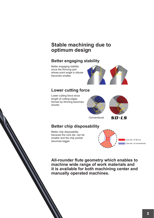## **Stable machining due to optimum design**

#### **Better engaging stability**

Better engaging stability since the thinning part whose point angle is obtuse becomes smaller.



#### **Lower cutting force**

Lower cutting force since length of cutting edges formed by thinning becomes shorter.





Conventional

SD-LS

#### **Better chip disposability**

Better chip disposability because the core dia. can be smaller and the chip pocket becomes bigger.



**All-rounder flute geometry which enables to machine wide range of work materials and it is available for both machining center and manually operated machines.**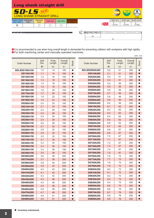| <b>Long shank straight drill</b>   |                          |                                                 |           |                    |                                |   |                |  |                    |                |                                |
|------------------------------------|--------------------------|-------------------------------------------------|-----------|--------------------|--------------------------------|---|----------------|--|--------------------|----------------|--------------------------------|
|                                    |                          | $5D-LS$ NEW<br><b>LONG SHANK STRAIGHT DRILL</b> |           |                    |                                |   |                |  | <b>HSS</b>         | $118^\circ$    | <b>hinning</b><br>$D_1 \geq 2$ |
| Carbon Steel<br><b>Alloy Steel</b> | Hardened<br><b>Steel</b> | <b>Stainless</b><br><b>Steel</b>                | Cast Iron | <b>Light Alloy</b> | leat Resistant<br><b>Alloy</b> |   |                |  | $1 \leq D1 \leq 3$ | $3 < D1 \le 6$ | $6 < D1 \le 10$                |
| $\circledcirc$                     |                          |                                                 |           |                    |                                |   |                |  | $-0.014$           | $-0.018$       | 0<br>$-0.022$                  |
|                                    |                          |                                                 |           |                    |                                | ę | L <sub>3</sub> |  | L <sub>1</sub>     |                |                                |

a a It is recommended to use when long overall length is demanded for preventing collision with workpiece with high rigidity. For both machining center and manually operated machines.

|                        |                |                        |                   |                        |                        |                |                 |                   | Unit: mm               |
|------------------------|----------------|------------------------|-------------------|------------------------|------------------------|----------------|-----------------|-------------------|------------------------|
| <b>Order Number</b>    | Drill<br>Dia.  | <b>Flute</b><br>Length | Overall<br>Length | <b>Stock</b>           | <b>Order Number</b>    | Drill<br>Dia.  | Flute<br>Length | Overall<br>Length | <b>Stock</b>           |
|                        | D <sub>1</sub> | L <sub>3</sub>         | L <sub>1</sub>    |                        |                        | D <sub>1</sub> | L <sub>3</sub>  | L <sub>1</sub>    |                        |
| <b>SDLSD0100A100</b>   | 1.0            | 12                     | 100               | $\bullet$              | <b>SDLSD0500A200</b>   | 5.0            | 51              | 200               | $\bullet$              |
| D0110A100              | 1.1            | 14                     | 100               | $\bullet$              | D0510A200              | 5.1            | 51              | 200               | $\bullet$<br>$\bullet$ |
| D0120A100<br>D0130A100 | 1.2<br>1.3     | 16<br>16               | 100<br>100        | $\bullet$              | D0520A200<br>D0530A200 | 5.2<br>5.3     | 51<br>51        | 200<br>200        | $\bullet$              |
| D0140A100              | 1.4            | 18                     | 100               | $\bullet$<br>$\bullet$ | D0540A200              | 5.4            | 56              | 200               | ●                      |
| D0150A100              | 1.5            | 18                     | 100               | $\bullet$              | D0550A200              | 5.5            | 56              | 200               | $\bullet$              |
| D0160A100              | 1.6            | 20                     | 100               |                        | D0560A200              | 5.6            | 56              | 200               | $\bullet$              |
| D0170A100              | 1.7            | 20                     | 100               | $\bullet$              | D0570A200              | 5.7            | 56              | 200               |                        |
| D0180A100              | 1.8            | 22                     | 100               |                        | D0580A200              | 5.8            | 56              | 200               |                        |
| D0190A100              | 1.9            | 22                     | 100               | $\bullet$              | D0590A200              | 5.9            | 56              | 200               | $\bullet$              |
| D0200A100              | 2.0            | 23                     | 100               |                        | D0600A200              | 6.0            | 56              | 200               | $\bullet$              |
| D0210A150              | 2.1            | 23                     | 150               | $\bullet$              | D0610A250              | 6.1            | 62              | 250               | $\bullet$              |
| D0220A150              | 2.2            | 26                     | 150               |                        | D0620A250              | 6.2            | 62              | 250               |                        |
| D0230A150              | 2.3            | 26                     | 150               | $\bullet$              | D0630A250              | 6.3            | 62              | 250               | $\bullet$              |
| D0240A150              | 2.4            | 29                     | 150               |                        | D0640A250              | 6.4            | 62              | 250               |                        |
| D0250A150              | 2.5            | 29                     | 150               | $\bullet$              | D0650A250              | 6.5            | 62              | 250               |                        |
| D0260A150              | 2.6            | 29                     | 150               |                        | D0660A250              | 6.6            | 62              | 250               |                        |
| D0270A150              | 2.7            | 32                     | 150               | $\bullet$              | D0670A250              | 6.7            | 62              | 250               | $\bullet$              |
| D0280A150              | 2.8            | 32                     | 150               | $\bullet$              | D0680A250              | 6.8            | 67              | 250               | $\bullet$              |
| D0290A150              | 2.9            | 32                     | 150               | $\bullet$              | D0690A250              | 6.9            | 67              | 250               | $\bullet$              |
| D0300A150              | 3.0            | 32                     | 150               |                        | D0700A250              | 7.0            | 67              | 250               | $\bullet$              |
| D0310A150              | 3.1            | 35                     | 150               | $\bullet$              | D0710A250              | 7.1            | 67              | 250               | $\bullet$              |
| D0320A150              | 3.2            | 35                     | 150               |                        | D0720A250              | 7.2            | 67              | 250               |                        |
| D0330A150              | 3.3            | 35                     | 150               | $\bullet$              | D0730A250              | 7.3            | 67              | 250               |                        |
| D0340A150              | 3.4            | 38                     | 150               |                        | D0740A250              | 7.4            | 67              | 250               |                        |
| D0350A150              | 3.5            | 38                     | 150               | $\bullet$              | D0750A250              | 7.5            | 67              | 250               | $\bullet$              |
| D0360A200              | 3.6            | 38                     | 200               | $\bullet$              | D0760A250              | 7.6            | 73              | 250               | $\bullet$              |
| D0370A200              | 3.7            | 38                     | 200               | $\bullet$              | D0770A250              | 7.7            | 73              | 250               | $\bullet$              |
| D0380A200              | 3.8            | 42                     | 200               |                        | D0780A250              | 7.8            | 73              | 250               |                        |
| D0390A200              | 3.9            | 42                     | 200               | $\bullet$              | D0790A250              | 7.9            | 73              | 250               | $\bullet$              |
| D0400A200              | 4.0            | 42                     | 200               |                        | D0800A250              | 8.0            | 73              | 250               |                        |
| D0410A200              | 4.1            | 42                     | 200               | $\bullet$              | D0810A250              | 8.1            | 73              | 250               |                        |
| D0420A200              | 4.2            | 42                     | 200               |                        | D0820A250              | 8.2<br>8.3     | 73              | 250               |                        |
| D0430A200<br>D0440A200 | 4.3<br>4.4     | 46                     | 200               | $\bullet$              | D0830A250<br>D0840A250 | 8.4            | 73<br>73        | 250<br>250        | $\bullet$              |
|                        |                | 46                     | 200               |                        | D0850A250              | 8.5            | 73              | 250               | 0                      |
| D0450A200<br>D0460A200 | 4.5<br>4.6     | 46<br>46               | 200<br>200        | $\bullet$              | D0860A250              | 8.6            | 79              | 250               |                        |
| D0470A200              | 4.7            | 46                     | 200               | $\bullet$              | D0870A250              | 8.7            | 79              | 250               | $\bullet$              |
| D0480A200              | 4.8            | 51                     | 200               |                        | D0880A250              | 8.8            | 79              | 250               |                        |
| D0490A200              | 4.9            | 51                     | 200               |                        | D0890A250              | 8.9            | 79              | 250               |                        |
|                        |                |                        |                   |                        |                        |                |                 |                   |                        |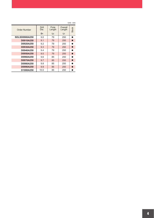| Order Number         | Drill<br>Dia.  | Flute<br>Length | Overall<br>Length | <b>Stock</b> |
|----------------------|----------------|-----------------|-------------------|--------------|
|                      | D <sub>1</sub> | L <sub>3</sub>  | L <sub>1</sub>    |              |
| <b>SDLSD0900A250</b> | 9.0            | 79              | 250               |              |
| D0910A250            | 9.1            | 79              | 250               |              |
| D0920A250            | 9.2            | 79              | 250               |              |
| D0930A250            | 9.3            | 79              | 250               |              |
| D0940A250            | 9.4            | 79              | 250               |              |
| D0950A250            | 9.5            | 79              | 250               |              |
| D0960A250            | 9.6            | 85              | 250               |              |
| D0970A250            | 9.7            | 85              | 250               |              |
| D0980A250            | 9.8            | 85              | 250               |              |
| D0990A250            | 9.9            | 85              | 250               |              |
| D1000A250            | 10.0           | 85              | 250               |              |

Unit : mm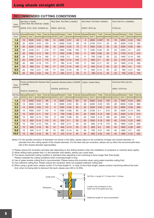#### **RECOMMENDED CUTTING CONDITIONS**

| Work<br>material   |                          | Mild Steel ( $\leq$ 180HB),<br>Carbon Steel, Alloy Steel(180-250HB) |      |                                               | Alloy Steel, Tool Steel (≤30HRC)<br>SKD61, SKT4 etc. |                            |                                                                 |     | Alloy Steel, Tool Steel (<40HRC) |                            |       |                          | Gray Cast Iron (≤350MPa)           |              |                                                       |           |  |
|--------------------|--------------------------|---------------------------------------------------------------------|------|-----------------------------------------------|------------------------------------------------------|----------------------------|-----------------------------------------------------------------|-----|----------------------------------|----------------------------|-------|--------------------------|------------------------------------|--------------|-------------------------------------------------------|-----------|--|
|                    |                          | SS400, S10C, S45C, SCM440 etc.                                      |      |                                               |                                                      |                            |                                                                 |     |                                  | SKD61, SKT4 etc.           |       |                          | FC300 etc.                         |              |                                                       |           |  |
| Drill Dia.<br>(mm) | Cutting speed<br>(m/min) | Revolution<br>$(min^{-1})$                                          | Feed | $\frac{1}{2}$ (mm/rev) $\frac{1}{2}$ (mm/min) | Feed rate Cutting speed<br>(m/min)                   | Revolution<br>$(min^{-1})$ | Feed<br>$\lfloor$ (mm/rev) $\lfloor$ (mm/min) $\rfloor$ (m/min) |     | Feed rate Cutting speed          | Revolution<br>$(min^{-1})$ | Feed  | (mm/rev)(mm/min) (m/min) | Feed rate Cutting speed Revolution | $(min^{-1})$ | Feed<br>$\frac{1}{m}$ (mm/rev) $\frac{1}{m}$ (mm/min) | Feed rate |  |
| 1.0                | 16                       | 5000                                                                | 0.02 | 100                                           | 13                                                   | 4000                       | 0.01                                                            | 40  | 9                                | 2800                       | 0.007 | 15                       | 16                                 | 5000         | 0.02                                                  | 100       |  |
| 1.5                | 20                       | 4200                                                                | 0.03 | 125                                           | 15                                                   | 3200                       | 0.02                                                            | 60  | 10                               | 2100                       | 0.01  | 20                       | 20                                 | 4200         | 0.03                                                  | 125       |  |
| 2.0                | 20                       | 3200                                                                | 0.05 | 160                                           | 16                                                   | 2500                       | 0.03                                                            | 75  | 11                               | 1800                       | 0.02  | 35                       | 20                                 | 3200         | 0.05                                                  | 160       |  |
| 3.0                | 20                       | 2100                                                                | 0.1  | 210                                           | 17                                                   | 1800                       | 0.06                                                            | 105 | 11                               | 1200                       | 0.04  | 45                       | 22                                 | 2300         | 0.1                                                   | 230       |  |
| 4.0                | 20                       | 1600                                                                | 0.12 | 190                                           | 17                                                   | 1350                       | 0.08                                                            | 105 | 11                               | 900                        | 0.06  | 50                       | 22                                 | 1750         | 0.12                                                  | 210       |  |
| 5.0                | 20                       | 1300                                                                | 0.14 | 180                                           | 17                                                   | 1100                       | 0.1                                                             | 110 | 11                               | 700                        | 0.08  | 55                       | 22                                 | 1400         | 0.14                                                  | 195       |  |
| 6.0                | 20                       | 1050                                                                | 0.17 | 175                                           | 17                                                   | 900                        | 0.12                                                            | 105 | 11                               | 600                        | 0.1   | 60                       | 22                                 | 1150         | 0.18                                                  | 205       |  |
| 7.0                | 20                       | 900                                                                 | 0.19 | 170                                           | 17                                                   | 780                        | 0.14                                                            | 105 | 11                               | 500                        | 0.11  | 55                       | 22                                 | 1000         | 0.19                                                  | 190       |  |
| 8.0                | 20                       | 800                                                                 | 0.2  | 160                                           | 17                                                   | 670                        | 0.15                                                            | 100 | 11                               | 450                        | 0.12  | 50                       | 22                                 | 890          | 0.2                                                   | 175       |  |
| 9.0                | 20                       | 700                                                                 | 0.21 | 145                                           | 17                                                   | 600                        | 0.16                                                            | 95  | 11                               | 400                        | 0.13  | 50                       | 22                                 | 780          | 0.21                                                  | 160       |  |
| 10.0               | 20                       | 650                                                                 | 0.22 | 140                                           | 17                                                   | 540                        | 0.17                                                            | 90  | 11                               | 350                        | 0.14  | 45                       | 22                                 | 700          | 0.22                                                  | 150       |  |

| Work               | $(\leq 200HB)$                      |                     | Ferritic and Martensitic Stainless Steel | Austenitic Stainless Steel (≤200HB)                     |                         |                            |                                                                 | Copper, Copper Alloys |                         |                            |      | Aluminium Alloy (Si<5%)                                                         |                                    |              |                                                       |           |  |
|--------------------|-------------------------------------|---------------------|------------------------------------------|---------------------------------------------------------|-------------------------|----------------------------|-----------------------------------------------------------------|-----------------------|-------------------------|----------------------------|------|---------------------------------------------------------------------------------|------------------------------------|--------------|-------------------------------------------------------|-----------|--|
| material           |                                     | SUS410, SUS430 etc. |                                          |                                                         |                         | SUS304, SUS316 etc.        |                                                                 |                       |                         |                            |      |                                                                                 | A6061, A7075 etc.                  |              |                                                       |           |  |
| Drill Dia.<br>(mm) | Cutting speed Revolution<br>(m/min) | $(min^{-1})$        | Feed                                     | $\lfloor$ (mm/rev) $\lfloor$ (mm/min) $\rfloor$ (m/min) | Feed rate Cutting speed | Revolution<br>$(min^{-1})$ | Feed<br>$\lfloor$ (mm/rev) $\lfloor$ (mm/min) $\rfloor$ (m/min) |                       | Feed rate Cutting speed | Revolution<br>$(min^{-1})$ | Feed | $\langle$ mm/rev $\rangle$ $\langle$ mm/min $\rangle$ $\langle$ m/min $\rangle$ | Feed rate Cutting speed Revolution | $(min^{-1})$ | Feed<br>$\frac{1}{m}$ (mm/rev) $\frac{1}{m}$ (mm/min) | Feed rate |  |
| 1.0                | 13                                  | 4000                | 0.02                                     | 80                                                      | 9                       | 3000                       | 0.02                                                            | 60                    | 16                      | 5000                       | 0.02 | 100                                                                             | 22                                 | 7000         | 0.04                                                  | 280       |  |
| 1.5                | 14                                  | 3000                | 0.03                                     | 90                                                      | 9                       | 2000                       | 0.03                                                            | 60                    | 20                      | 4200                       | 0.03 | 125                                                                             | 28                                 | 6000         | 0.06                                                  | 360       |  |
| 2.0                | 14                                  | 2200                | 0.05                                     | 110                                                     | 9                       | 1500                       | 0.04                                                            | 60                    | 20                      | 3200                       | 0.05 | 160                                                                             | 30                                 | 4800         | 0.08                                                  | 380       |  |
| 3.0                | 15                                  | 1600                | 0.07                                     | 110                                                     | 9                       | 1000                       | 0.06                                                            | 60                    | 20                      | 2100                       | 0.1  | 210                                                                             | 40                                 | 4200         | 0.13                                                  | 545       |  |
| 4.0                | 15                                  | 1200                | 0.11                                     | 130                                                     | 9                       | 700                        | 0.08                                                            | 55                    | 20                      | 1600                       | 0.12 | 190                                                                             | 40                                 | 3200         | 0.16                                                  | 510       |  |
| 5.0                | 15                                  | 950                 | 0.13                                     | 120                                                     | 9                       | 600                        | 0.09                                                            | 50                    | 20                      | 1300                       | 0.14 | 180                                                                             | 40                                 | 2550         | 0.2                                                   | 510       |  |
| 6.0                | 15                                  | 800                 | 0.14                                     | 110                                                     | 10                      | 530                        | 0.1                                                             | 50                    | 20                      | 1050                       | 0.18 | 185                                                                             | 40                                 | 2100         | 0.23                                                  | 480       |  |
| 7.0                | 15                                  | 700                 | 0.15                                     | 105                                                     | 10                      | 450                        | 0.11                                                            | 45                    | 20                      | 900                        | 0.19 | 170                                                                             | 40                                 | 1800         | 0.25                                                  | 450       |  |
| 8.0                | 15                                  | 600                 | 0.16                                     | 95                                                      | 10                      | 400                        | 0.13                                                            | 50                    | 20                      | 800                        | 0.2  | 160                                                                             | 40                                 | 1600         | 0.28                                                  | 445       |  |
| 9.0                | 15                                  | 520                 | 0.17                                     | 85                                                      | 10                      | 360                        | 0.14                                                            | 50                    | 20                      | 700                        | 0.21 | 145                                                                             | 40                                 | 1400         | 0.3                                                   | 420       |  |
| 10.0               | 15                                  | 480                 | 0.18                                     | 85                                                      | 10                      | 310                        | 0.15                                                            | 45                    | 20                      | 650                        | 0.22 | 140                                                                             | 40                                 | 1280         | 0.33                                                  | 420       |  |

(Note) For the spindle revolution of diameters not shown in the table, please adjust to the conditions of larger and closest diameter, or calculate from the cutting speed of the closest diameter. For the feed rate per revolution, please set up within the recommended feed rate of the closest diameter appropriately.

1) Please reduce the revolution and feed rate depending on the drilling situation when the installation of workpiece or machine lacks rigidity.

2) When drilling holes greater than 3 x drill diameter hole depths, please use a peck feed.

3) The above-mentioned cutting condition is standard when adjusting a tool overhang to twice longer than flute length. Please modulate the cutting conditions when overhang length is long.

4) Use of water-soluble cutting fluid is recommended. Please reduce the revolution when using water-insoluble cutting fluid.

5) Use sufficient cutting fluid. Please reduce the revolution when not supplied sufficient cutting fluid.

6) When using a guide bush, please confirm if it is flute length>A. In case of short flute length, please conduct machining without the bush. And, when not being able to dismount the bush, please use LSD or G-WSL.

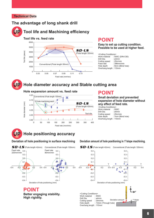#### **Technical Data**

#### **The advantage of long shank drill**



#### **Tool life and Machining efficiency**



## **POINT**

**Easy to set up cutting condition. Possible to be used at higher feed.**

| <cutting conditions=""></cutting> |                                  |  |  |  |  |  |  |
|-----------------------------------|----------------------------------|--|--|--|--|--|--|
| Work material                     | : S50C (DIN-C50)                 |  |  |  |  |  |  |
| Drill Dia.                        | $: \boldsymbol{\varnothing}$ 3mm |  |  |  |  |  |  |
| Cutting speed                     | :25m/min                         |  |  |  |  |  |  |
| Feed rate                         | $: 398$ mm/min                   |  |  |  |  |  |  |
| Hole depth                        | : 9mm (Blind hole)               |  |  |  |  |  |  |
| Overhang length: 110mm            |                                  |  |  |  |  |  |  |



#### **Hole diameter accuracy and Stable cutting area**

#### **Hole expansion amount vs. feed rate**



0.4 0.3  $0.2$  $\overline{0}$ . 0 -0.1  $-0.2$ -0.3 -0.4

Conventional (Flute length 100mm)

### **POINT**

#### **Small deviation and prevented expansion of hole diameter without any effect of feed rate.**

<Cutting Conditions><br>Work material 550C Work material : S50C<br>Drill Dia : 64mm Drill Dia. : ø4mm<br>Cutting speed : 25m/min Cutting speed<br>Hole depth 7mm (Blind hole) Overhang length : 110mm

Feed rate 220mm/min

 $5D-LS$  (Flute length 42mm)

0.4 0.3 0.2 0.1  $\overline{0}$  $-0.1$  $-0.2$ -0.3 -0.4

#### **UP** Hole positioning accuracy

Feed rate 80mm/min

#### **Deviation of hole positioning in surface machining Deviation amount of hole positioning in 1°slope machining.**

Deviation of hole positioning (mm)

**Better engaging stability.**

**High rigidity.**

**POINT**

#### 0.4 0.3 0.2 0.1 240 -0.1 -0.2 -0.3 -0.4 0.4 0.3 0.2 0.1  $\theta$  $-0.1$  $-0.2$ -0.3 -0.4<br>Deviation of hole positioning (mm)  $-0.4$   $-0.2$   $0.2$   $0.4$   $-0.4$   $-0.2$   $0.4$   $0.2$  0.4  $-0.4$   $-0.4$   $-0.2$  0.4 0.2 0.4 Y  $-0.4$   $-0.2$   $-0.2$   $0.4$   $-0.4$   $-0.2$  0 0.2 0.4  $-0.4$   $-0.2$  0.2 0.4 Y **Z Y** <Cutting Conditions> Work material : S50C Drill Dia. : ø4mm Cutting speed : 25m/min Hole depth : 13mm (Through hole) Overhang length : 110mm Conventional (Flute length 100mm) Conventional (Flute length 100mm) Deviation amount  $\int_{1}^{\infty}$  / 1°slope